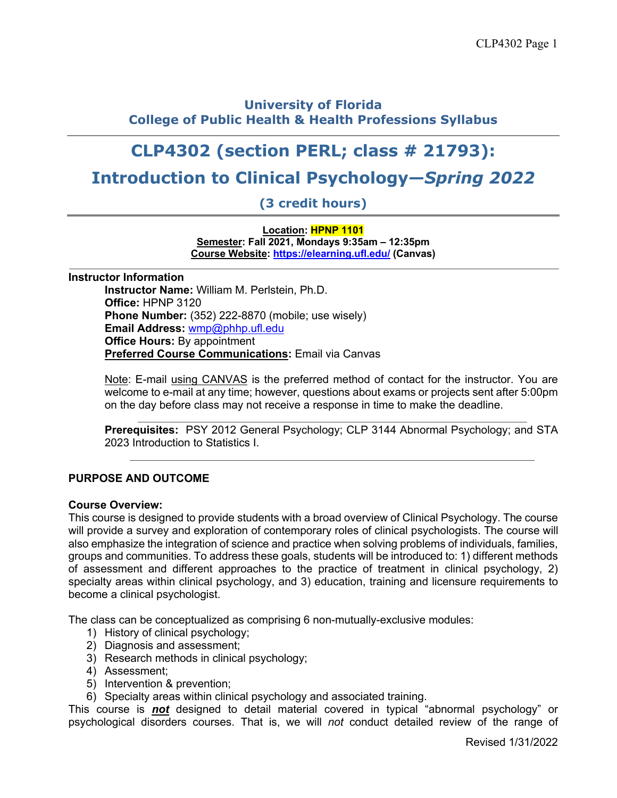# **University of Florida College of Public Health & Health Professions Syllabus**

# **CLP4302 (section PERL; class # 21793):**

# **Introduction to Clinical Psychology—***Spring 2022*

**(3 credit hours)**

**Location: HPNP 1101 Semester: Fall 2021, Mondays 9:35am – 12:35pm Course Website: https://elearning.ufl.edu/ (Canvas)**

#### **Instructor Information**

**Instructor Name:** William M. Perlstein, Ph.D. **Office:** HPNP 3120 **Phone Number:** (352) 222-8870 (mobile; use wisely) **Email Address:** wmp@phhp.ufl.edu **Office Hours:** By appointment **Preferred Course Communications:** Email via Canvas

Note: E-mail using CANVAS is the preferred method of contact for the instructor. You are welcome to e-mail at any time; however, questions about exams or projects sent after 5:00pm on the day before class may not receive a response in time to make the deadline.

**Prerequisites:** PSY 2012 General Psychology; CLP 3144 Abnormal Psychology; and STA 2023 Introduction to Statistics I.

# **PURPOSE AND OUTCOME**

## **Course Overview:**

This course is designed to provide students with a broad overview of Clinical Psychology. The course will provide a survey and exploration of contemporary roles of clinical psychologists. The course will also emphasize the integration of science and practice when solving problems of individuals, families, groups and communities. To address these goals, students will be introduced to: 1) different methods of assessment and different approaches to the practice of treatment in clinical psychology, 2) specialty areas within clinical psychology, and 3) education, training and licensure requirements to become a clinical psychologist.

The class can be conceptualized as comprising 6 non-mutually-exclusive modules:

- 1) History of clinical psychology;
- 2) Diagnosis and assessment;
- 3) Research methods in clinical psychology;
- 4) Assessment;
- 5) Intervention & prevention;
- 6) Specialty areas within clinical psychology and associated training.

This course is *not* designed to detail material covered in typical "abnormal psychology" or psychological disorders courses. That is, we will *not* conduct detailed review of the range of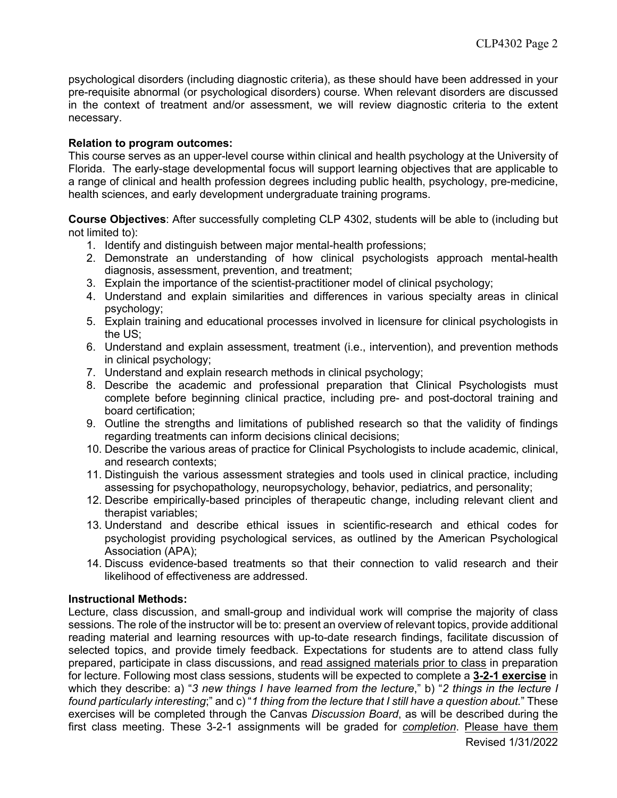psychological disorders (including diagnostic criteria), as these should have been addressed in your pre-requisite abnormal (or psychological disorders) course. When relevant disorders are discussed in the context of treatment and/or assessment, we will review diagnostic criteria to the extent necessary.

# **Relation to program outcomes:**

This course serves as an upper-level course within clinical and health psychology at the University of Florida. The early-stage developmental focus will support learning objectives that are applicable to a range of clinical and health profession degrees including public health, psychology, pre-medicine, health sciences, and early development undergraduate training programs.

**Course Objectives**: After successfully completing CLP 4302, students will be able to (including but not limited to):

- 1. Identify and distinguish between major mental-health professions;
- 2. Demonstrate an understanding of how clinical psychologists approach mental-health diagnosis, assessment, prevention, and treatment;
- 3. Explain the importance of the scientist-practitioner model of clinical psychology;
- 4. Understand and explain similarities and differences in various specialty areas in clinical psychology;
- 5. Explain training and educational processes involved in licensure for clinical psychologists in the US;
- 6. Understand and explain assessment, treatment (i.e., intervention), and prevention methods in clinical psychology;
- 7. Understand and explain research methods in clinical psychology;
- 8. Describe the academic and professional preparation that Clinical Psychologists must complete before beginning clinical practice, including pre- and post-doctoral training and board certification;
- 9. Outline the strengths and limitations of published research so that the validity of findings regarding treatments can inform decisions clinical decisions;
- 10. Describe the various areas of practice for Clinical Psychologists to include academic, clinical, and research contexts;
- 11. Distinguish the various assessment strategies and tools used in clinical practice, including assessing for psychopathology, neuropsychology, behavior, pediatrics, and personality;
- 12. Describe empirically-based principles of therapeutic change, including relevant client and therapist variables;
- 13. Understand and describe ethical issues in scientific-research and ethical codes for psychologist providing psychological services, as outlined by the American Psychological Association (APA);
- 14. Discuss evidence-based treatments so that their connection to valid research and their likelihood of effectiveness are addressed.

## **Instructional Methods:**

Lecture, class discussion, and small-group and individual work will comprise the majority of class sessions. The role of the instructor will be to: present an overview of relevant topics, provide additional reading material and learning resources with up-to-date research findings, facilitate discussion of selected topics, and provide timely feedback. Expectations for students are to attend class fully prepared, participate in class discussions, and read assigned materials prior to class in preparation for lecture. Following most class sessions, students will be expected to complete a **3-2-1 exercise** in which they describe: a) "*3 new things I have learned from the lecture*," b) "*2 things in the lecture I found particularly interesting*;" and c) "*1 thing from the lecture that I still have a question about.*" These exercises will be completed through the Canvas *Discussion Board*, as will be described during the first class meeting. These 3-2-1 assignments will be graded for *completion*. Please have them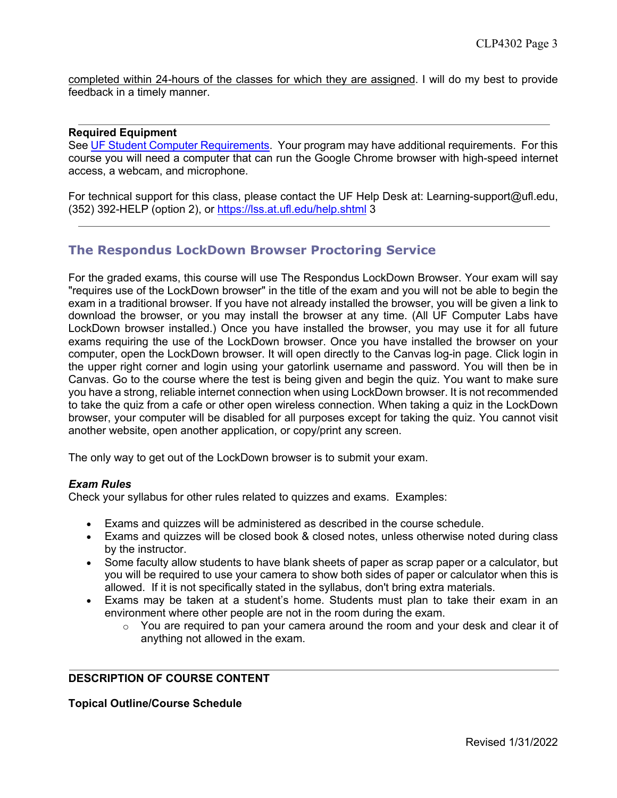completed within 24-hours of the classes for which they are assigned. I will do my best to provide feedback in a timely manner.

## **Required Equipment**

See UF Student Computer Requirements. Your program may have additional requirements. For this course you will need a computer that can run the Google Chrome browser with high-speed internet access, a webcam, and microphone.

For technical support for this class, please contact the UF Help Desk at: Learning-support@ufl.edu, (352) 392-HELP (option 2), or https://lss.at.ufl.edu/help.shtml 3

# **The Respondus LockDown Browser Proctoring Service**

For the graded exams, this course will use The Respondus LockDown Browser. Your exam will say "requires use of the LockDown browser" in the title of the exam and you will not be able to begin the exam in a traditional browser. If you have not already installed the browser, you will be given a link to download the browser, or you may install the browser at any time. (All UF Computer Labs have LockDown browser installed.) Once you have installed the browser, you may use it for all future exams requiring the use of the LockDown browser. Once you have installed the browser on your computer, open the LockDown browser. It will open directly to the Canvas log-in page. Click login in the upper right corner and login using your gatorlink username and password. You will then be in Canvas. Go to the course where the test is being given and begin the quiz. You want to make sure you have a strong, reliable internet connection when using LockDown browser. It is not recommended to take the quiz from a cafe or other open wireless connection. When taking a quiz in the LockDown browser, your computer will be disabled for all purposes except for taking the quiz. You cannot visit another website, open another application, or copy/print any screen.

The only way to get out of the LockDown browser is to submit your exam.

## *Exam Rules*

Check your syllabus for other rules related to quizzes and exams. Examples:

- Exams and quizzes will be administered as described in the course schedule.
- Exams and quizzes will be closed book & closed notes, unless otherwise noted during class by the instructor.
- Some faculty allow students to have blank sheets of paper as scrap paper or a calculator, but you will be required to use your camera to show both sides of paper or calculator when this is allowed. If it is not specifically stated in the syllabus, don't bring extra materials.
- Exams may be taken at a student's home. Students must plan to take their exam in an environment where other people are not in the room during the exam.
	- o You are required to pan your camera around the room and your desk and clear it of anything not allowed in the exam.

# **DESCRIPTION OF COURSE CONTENT**

**Topical Outline/Course Schedule**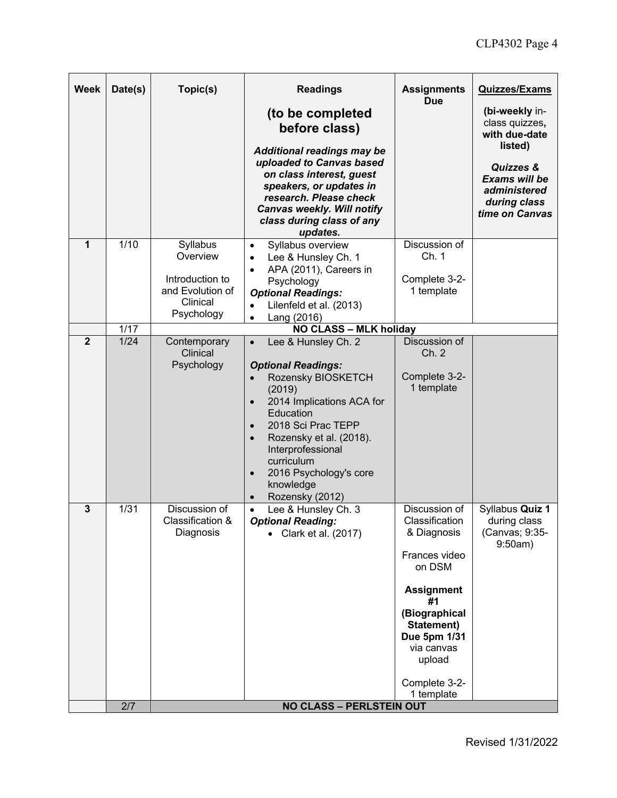| <b>Week</b>  | Date(s)           | Topic(s)                                                                              | <b>Readings</b><br>(to be completed<br>before class)<br><b>Additional readings may be</b><br>uploaded to Canvas based<br>on class interest, guest<br>speakers, or updates in<br>research. Please check<br><b>Canvas weekly. Will notify</b><br>class during class of any<br>updates.                                                                   | <b>Assignments</b><br><b>Due</b>                                                                                                                                                                           | <b>Quizzes/Exams</b><br>(bi-weekly in-<br>class quizzes,<br>with due-date<br>listed)<br>Quizzes &<br>Exams will be<br>administered<br>during class<br>time on Canvas |
|--------------|-------------------|---------------------------------------------------------------------------------------|--------------------------------------------------------------------------------------------------------------------------------------------------------------------------------------------------------------------------------------------------------------------------------------------------------------------------------------------------------|------------------------------------------------------------------------------------------------------------------------------------------------------------------------------------------------------------|----------------------------------------------------------------------------------------------------------------------------------------------------------------------|
| $\mathbf{1}$ | 1/10              | Syllabus<br>Overview<br>Introduction to<br>and Evolution of<br>Clinical<br>Psychology | Syllabus overview<br>$\bullet$<br>Lee & Hunsley Ch. 1<br>$\bullet$<br>APA (2011), Careers in<br>$\bullet$<br>Psychology<br><b>Optional Readings:</b><br>Lilenfeld et al. (2013)<br>$\bullet$<br>Lang (2016)<br>$\bullet$                                                                                                                               | Discussion of<br>Ch. 1<br>Complete 3-2-<br>1 template                                                                                                                                                      |                                                                                                                                                                      |
|              | $\overline{1/17}$ |                                                                                       | <b>NO CLASS - MLK holiday</b>                                                                                                                                                                                                                                                                                                                          |                                                                                                                                                                                                            |                                                                                                                                                                      |
| $\mathbf{2}$ | 1/24              | Contemporary<br>Clinical<br>Psychology                                                | Lee & Hunsley Ch. 2<br>$\bullet$<br><b>Optional Readings:</b><br>Rozensky BIOSKETCH<br>(2019)<br>2014 Implications ACA for<br>$\bullet$<br>Education<br>2018 Sci Prac TEPP<br>$\bullet$<br>Rozensky et al. (2018).<br>$\bullet$<br>Interprofessional<br>curriculum<br>2016 Psychology's core<br>$\bullet$<br>knowledge<br>Rozensky (2012)<br>$\bullet$ | Discussion of<br>Ch. 2<br>Complete 3-2-<br>1 template                                                                                                                                                      |                                                                                                                                                                      |
| 3            | 1/31              | Discussion of<br>Classification &<br>Diagnosis                                        | Lee & Hunsley Ch. 3<br>$\bullet$<br><b>Optional Reading:</b><br>Clark et al. (2017)                                                                                                                                                                                                                                                                    | Discussion of<br>Classification<br>& Diagnosis<br>Frances video<br>on DSM<br><b>Assignment</b><br>#1<br>(Biographical<br>Statement)<br>Due 5pm 1/31<br>via canvas<br>upload<br>Complete 3-2-<br>1 template | Syllabus Quiz 1<br>during class<br>(Canvas; 9:35-<br>9:50am)                                                                                                         |
|              | 2/7               |                                                                                       | <b>NO CLASS - PERLSTEIN OUT</b>                                                                                                                                                                                                                                                                                                                        |                                                                                                                                                                                                            |                                                                                                                                                                      |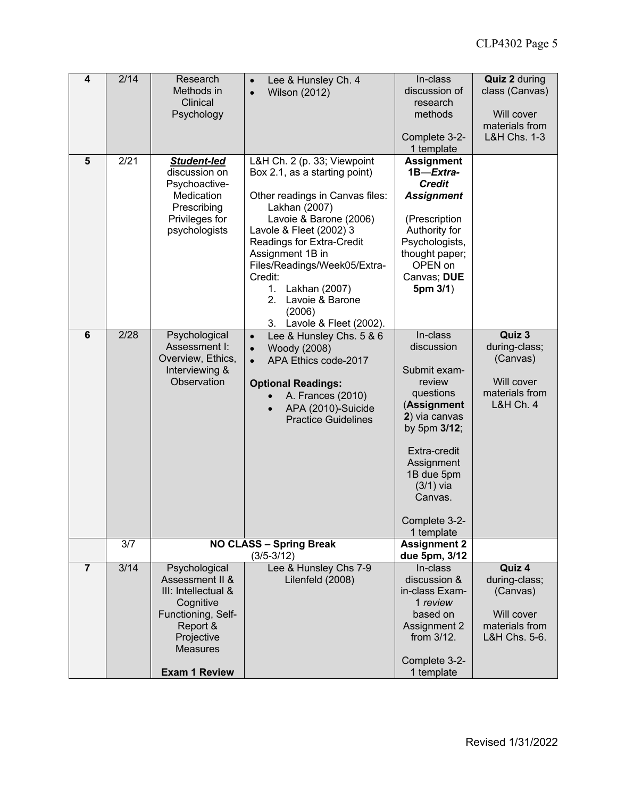| 4              | 2/14 | Research<br>Methods in<br>Clinical<br>Psychology                                                                                                                | Lee & Hunsley Ch. 4<br>$\bullet$<br><b>Wilson (2012)</b><br>$\bullet$                                                                                                                                                                                                                                                                                       | In-class<br>discussion of<br>research<br>methods                                                                                                                                             | <b>Quiz 2 during</b><br>class (Canvas)<br>Will cover<br>materials from               |  |
|----------------|------|-----------------------------------------------------------------------------------------------------------------------------------------------------------------|-------------------------------------------------------------------------------------------------------------------------------------------------------------------------------------------------------------------------------------------------------------------------------------------------------------------------------------------------------------|----------------------------------------------------------------------------------------------------------------------------------------------------------------------------------------------|--------------------------------------------------------------------------------------|--|
|                |      |                                                                                                                                                                 |                                                                                                                                                                                                                                                                                                                                                             | Complete 3-2-<br>1 template                                                                                                                                                                  | <b>L&amp;H Chs. 1-3</b>                                                              |  |
| $\overline{5}$ | 2/21 | <b>Student-led</b><br>discussion on<br>Psychoactive-<br>Medication<br>Prescribing<br>Privileges for<br>psychologists                                            | L&H Ch. 2 (p. 33; Viewpoint<br>Box 2.1, as a starting point)<br>Other readings in Canvas files:<br>Lakhan (2007)<br>Lavoie & Barone (2006)<br>Lavole & Fleet (2002) 3<br>Readings for Extra-Credit<br>Assignment 1B in<br>Files/Readings/Week05/Extra-<br>Credit:<br>Lakhan (2007)<br>1.<br>2.<br>Lavoie & Barone<br>(2006)<br>Lavole & Fleet (2002).<br>3. | <b>Assignment</b><br>1B-Extra-<br><b>Credit</b><br><b>Assignment</b><br>(Prescription<br>Authority for<br>Psychologists,<br>thought paper;<br>OPEN on<br>Canvas; DUE<br>5pm 3/1)<br>In-class |                                                                                      |  |
| $6\phantom{1}$ | 2/28 | Psychological<br>Assessment I:<br>Overview, Ethics,<br>Interviewing &<br>Observation                                                                            | Lee & Hunsley Chs. 5 & 6<br>$\bullet$<br>Woody (2008)<br>$\bullet$<br>APA Ethics code-2017<br>$\bullet$<br><b>Optional Readings:</b><br>A. Frances (2010)<br>APA (2010)-Suicide<br><b>Practice Guidelines</b><br>Complete 3-2-                                                                                                                              |                                                                                                                                                                                              | Quiz 3<br>during-class;<br>(Canvas)<br>Will cover<br>materials from<br>L&H Ch. 4     |  |
|                | 3/7  | <b>NO CLASS - Spring Break</b><br>$(3/5 - 3/12)$                                                                                                                |                                                                                                                                                                                                                                                                                                                                                             | <b>Assignment 2</b><br>due 5pm, 3/12                                                                                                                                                         |                                                                                      |  |
| $\overline{7}$ | 3/14 | Psychological<br>Assessment II &<br>III: Intellectual &<br>Cognitive<br>Functioning, Self-<br>Report &<br>Projective<br><b>Measures</b><br><b>Exam 1 Review</b> | Lee & Hunsley Chs 7-9<br>Lilenfeld (2008)                                                                                                                                                                                                                                                                                                                   | In-class<br>discussion &<br>in-class Exam-<br>1 review<br>based on<br>Assignment 2<br>from 3/12.<br>Complete 3-2-<br>1 template                                                              | Quiz 4<br>during-class;<br>(Canvas)<br>Will cover<br>materials from<br>L&H Chs. 5-6. |  |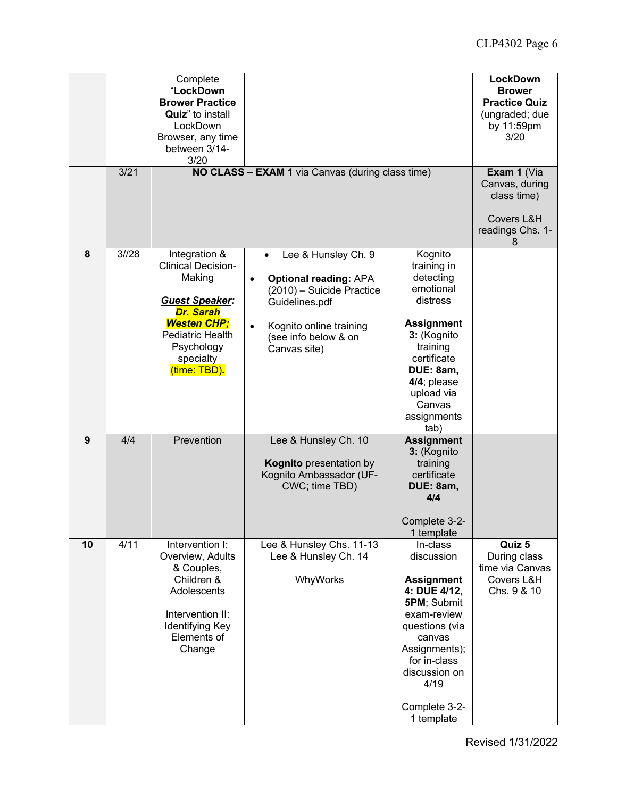|                |      | Complete<br>"LockDown<br><b>Brower Practice</b><br><b>Quiz</b> " to install<br>LockDown<br>Browser, any time<br>between 3/14-<br>3/20                                                  | NO CLASS - EXAM 1 via Canvas (during class time)                                                                                                                                                             |                                                                                                                                                                                                                | <b>LockDown</b><br><b>Brower</b><br><b>Practice Quiz</b><br>(ungraded; due<br>by 11:59pm<br>3/20 |
|----------------|------|----------------------------------------------------------------------------------------------------------------------------------------------------------------------------------------|--------------------------------------------------------------------------------------------------------------------------------------------------------------------------------------------------------------|----------------------------------------------------------------------------------------------------------------------------------------------------------------------------------------------------------------|--------------------------------------------------------------------------------------------------|
|                | 3/21 |                                                                                                                                                                                        | Exam 1 (Via<br>Canvas, during<br>class time)<br>Covers L&H<br>readings Chs. 1-<br>8                                                                                                                          |                                                                                                                                                                                                                |                                                                                                  |
| 8              | 3/28 | Integration &<br><b>Clinical Decision-</b><br>Making<br><b>Guest Speaker:</b><br><b>Dr. Sarah</b><br><b>Westen CHP:</b><br>Pediatric Health<br>Psychology<br>specialty<br>(time: TBD). | Lee & Hunsley Ch. 9<br>$\bullet$<br><b>Optional reading: APA</b><br>$\bullet$<br>(2010) - Suicide Practice<br>Guidelines.pdf<br>Kognito online training<br>$\bullet$<br>(see info below & on<br>Canvas site) | Kognito<br>training in<br>detecting<br>emotional<br>distress<br><b>Assignment</b><br>3: (Kognito<br>training<br>certificate<br>DUE: 8am,<br>4/4; please<br>upload via<br>Canvas<br>assignments<br>tab)         |                                                                                                  |
| $\overline{9}$ | 4/4  | Prevention                                                                                                                                                                             | Lee & Hunsley Ch. 10<br>Kognito presentation by<br>Kognito Ambassador (UF-<br>CWC; time TBD)                                                                                                                 | <b>Assignment</b><br>3: (Kognito<br>training<br>certificate<br>DUE: 8am,<br>4/4<br>Complete 3-2-<br>1 template                                                                                                 |                                                                                                  |
| 10             | 4/11 | Intervention I:<br>Overview, Adults<br>& Couples,<br>Children &<br>Adolescents<br>Intervention II:<br>Identifying Key<br>Elements of<br>Change                                         | Lee & Hunsley Chs. 11-13<br>Lee & Hunsley Ch. 14<br>WhyWorks                                                                                                                                                 | In-class<br>discussion<br><b>Assignment</b><br>4: DUE 4/12,<br>5PM; Submit<br>exam-review<br>questions (via<br>canvas<br>Assignments);<br>for in-class<br>discussion on<br>4/19<br>Complete 3-2-<br>1 template | Quiz 5<br>During class<br>time via Canvas<br>Covers L&H<br>Chs. 9 & 10                           |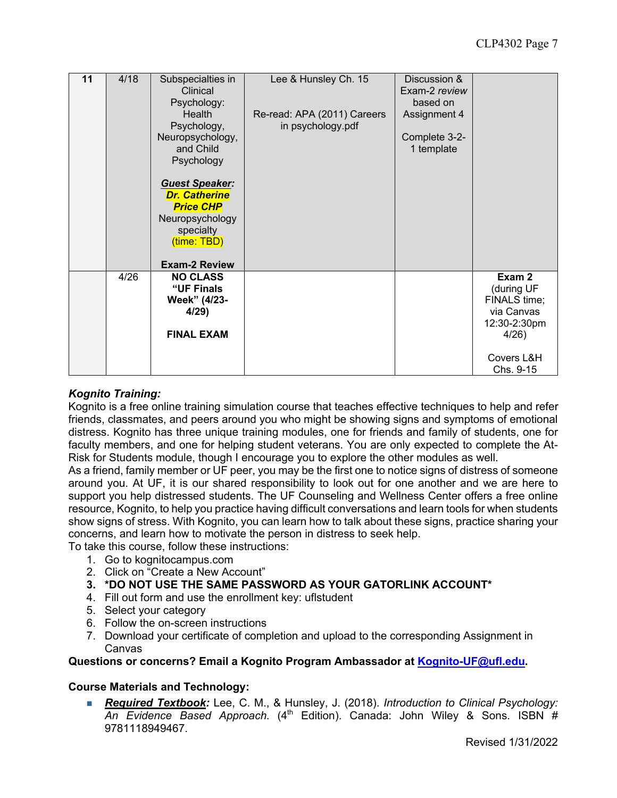| 11 | 4/18 | Subspecialties in<br>Clinical<br>Psychology:<br>Health<br>Psychology,<br>Neuropsychology,<br>and Child<br>Psychology<br><b>Guest Speaker:</b><br><b>Dr. Catherine</b><br><b>Price CHP</b><br>Neuropsychology<br>specialty<br>(time: TBD)<br><b>Exam-2 Review</b> | Lee & Hunsley Ch. 15<br>Re-read: APA (2011) Careers<br>in psychology.pdf | Discussion &<br>Exam-2 review<br>based on<br>Assignment 4<br>Complete 3-2-<br>1 template |                                                                                                       |
|----|------|------------------------------------------------------------------------------------------------------------------------------------------------------------------------------------------------------------------------------------------------------------------|--------------------------------------------------------------------------|------------------------------------------------------------------------------------------|-------------------------------------------------------------------------------------------------------|
|    | 4/26 | <b>NO CLASS</b><br>"UF Finals<br>Week" (4/23-<br>4/29<br><b>FINAL EXAM</b>                                                                                                                                                                                       |                                                                          |                                                                                          | Exam 2<br>(during UF<br>FINALS time;<br>via Canvas<br>12:30-2:30pm<br>4/26<br>Covers L&H<br>Chs. 9-15 |

# *Kognito Training:*

Kognito is a free online training simulation course that teaches effective techniques to help and refer friends, classmates, and peers around you who might be showing signs and symptoms of emotional distress. Kognito has three unique training modules, one for friends and family of students, one for faculty members, and one for helping student veterans. You are only expected to complete the At-Risk for Students module, though I encourage you to explore the other modules as well.

As a friend, family member or UF peer, you may be the first one to notice signs of distress of someone around you. At UF, it is our shared responsibility to look out for one another and we are here to support you help distressed students. The UF Counseling and Wellness Center offers a free online resource, Kognito, to help you practice having difficult conversations and learn tools for when students show signs of stress. With Kognito, you can learn how to talk about these signs, practice sharing your concerns, and learn how to motivate the person in distress to seek help.

To take this course, follow these instructions:

- 1. Go to kognitocampus.com
- 2. Click on "Create a New Account"
- **3. \*DO NOT USE THE SAME PASSWORD AS YOUR GATORLINK ACCOUNT\***
- 4. Fill out form and use the enrollment key: uflstudent
- 5. Select your category
- 6. Follow the on-screen instructions
- 7. Download your certificate of completion and upload to the corresponding Assignment in Canvas

# **Questions or concerns? Email a Kognito Program Ambassador at Kognito-UF@ufl.edu.**

# **Course Materials and Technology:**

■ *Required Textbook:* Lee, C. M., & Hunsley, J. (2018). *Introduction to Clinical Psychology: An Evidence Based Approach*. (4th Edition). Canada: John Wiley & Sons. ISBN # 9781118949467.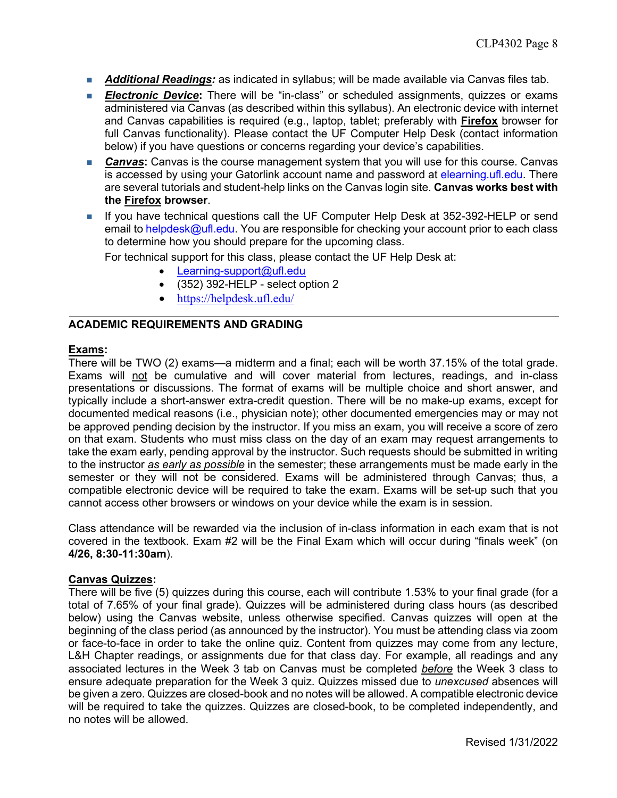- **Additional Readings:** as indicated in syllabus; will be made available via Canvas files tab.
- **Electronic Device:** There will be "in-class" or scheduled assignments, quizzes or exams administered via Canvas (as described within this syllabus). An electronic device with internet and Canvas capabilities is required (e.g., laptop, tablet; preferably with **Firefox** browser for full Canvas functionality). Please contact the UF Computer Help Desk (contact information below) if you have questions or concerns regarding your device's capabilities.
- **Canvas:** Canvas is the course management system that you will use for this course. Canvas is accessed by using your Gatorlink account name and password at elearning.ufl.edu. There are several tutorials and student-help links on the Canvas login site. **Canvas works best with the Firefox browser**.
- **n** If you have technical questions call the UF Computer Help Desk at 352-392-HELP or send email to helpdesk@ufl.edu. You are responsible for checking your account prior to each class to determine how you should prepare for the upcoming class.

For technical support for this class, please contact the UF Help Desk at:

- Learning-support@ufl.edu
- $\bullet$  (352) 392-HELP select option 2
- https://helpdesk.ufl.edu/

# **ACADEMIC REQUIREMENTS AND GRADING**

## **Exams:**

There will be TWO (2) exams—a midterm and a final; each will be worth 37.15% of the total grade. Exams will not be cumulative and will cover material from lectures, readings, and in-class presentations or discussions. The format of exams will be multiple choice and short answer, and typically include a short-answer extra-credit question. There will be no make-up exams, except for documented medical reasons (i.e., physician note); other documented emergencies may or may not be approved pending decision by the instructor. If you miss an exam, you will receive a score of zero on that exam. Students who must miss class on the day of an exam may request arrangements to take the exam early, pending approval by the instructor. Such requests should be submitted in writing to the instructor *as early as possible* in the semester; these arrangements must be made early in the semester or they will not be considered. Exams will be administered through Canvas; thus, a compatible electronic device will be required to take the exam. Exams will be set-up such that you cannot access other browsers or windows on your device while the exam is in session.

Class attendance will be rewarded via the inclusion of in-class information in each exam that is not covered in the textbook. Exam #2 will be the Final Exam which will occur during "finals week" (on **4/26, 8:30-11:30am**).

## **Canvas Quizzes:**

There will be five (5) quizzes during this course, each will contribute 1.53% to your final grade (for a total of 7.65% of your final grade). Quizzes will be administered during class hours (as described below) using the Canvas website, unless otherwise specified. Canvas quizzes will open at the beginning of the class period (as announced by the instructor). You must be attending class via zoom or face-to-face in order to take the online quiz. Content from quizzes may come from any lecture, L&H Chapter readings, or assignments due for that class day. For example, all readings and any associated lectures in the Week 3 tab on Canvas must be completed *before* the Week 3 class to ensure adequate preparation for the Week 3 quiz. Quizzes missed due to *unexcused* absences will be given a zero. Quizzes are closed-book and no notes will be allowed. A compatible electronic device will be required to take the quizzes. Quizzes are closed-book, to be completed independently, and no notes will be allowed.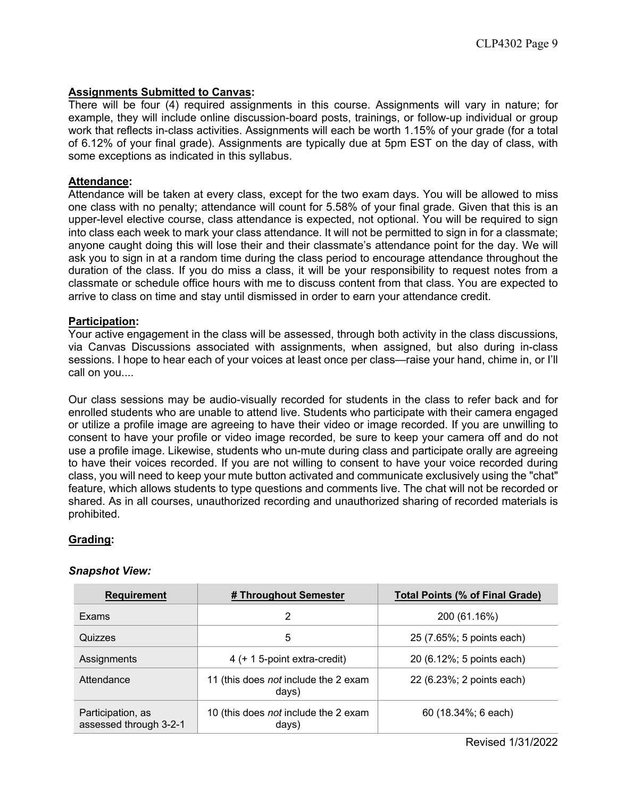## **Assignments Submitted to Canvas:**

There will be four (4) required assignments in this course. Assignments will vary in nature; for example, they will include online discussion-board posts, trainings, or follow-up individual or group work that reflects in-class activities. Assignments will each be worth 1.15% of your grade (for a total of 6.12% of your final grade). Assignments are typically due at 5pm EST on the day of class, with some exceptions as indicated in this syllabus.

## **Attendance:**

Attendance will be taken at every class, except for the two exam days. You will be allowed to miss one class with no penalty; attendance will count for 5.58% of your final grade. Given that this is an upper-level elective course, class attendance is expected, not optional. You will be required to sign into class each week to mark your class attendance. It will not be permitted to sign in for a classmate; anyone caught doing this will lose their and their classmate's attendance point for the day. We will ask you to sign in at a random time during the class period to encourage attendance throughout the duration of the class. If you do miss a class, it will be your responsibility to request notes from a classmate or schedule office hours with me to discuss content from that class. You are expected to arrive to class on time and stay until dismissed in order to earn your attendance credit.

# **Participation:**

Your active engagement in the class will be assessed, through both activity in the class discussions, via Canvas Discussions associated with assignments, when assigned, but also during in-class sessions. I hope to hear each of your voices at least once per class—raise your hand, chime in, or I'll call on you....

Our class sessions may be audio-visually recorded for students in the class to refer back and for enrolled students who are unable to attend live. Students who participate with their camera engaged or utilize a profile image are agreeing to have their video or image recorded. If you are unwilling to consent to have your profile or video image recorded, be sure to keep your camera off and do not use a profile image. Likewise, students who un-mute during class and participate orally are agreeing to have their voices recorded. If you are not willing to consent to have your voice recorded during class, you will need to keep your mute button activated and communicate exclusively using the "chat" feature, which allows students to type questions and comments live. The chat will not be recorded or shared. As in all courses, unauthorized recording and unauthorized sharing of recorded materials is prohibited.

# **Grading:**

## *Snapshot View:*

| <b>Requirement</b>                          | # Throughout Semester                         | <b>Total Points (% of Final Grade)</b> |  |  |  |
|---------------------------------------------|-----------------------------------------------|----------------------------------------|--|--|--|
| Exams                                       | 2                                             | 200 (61.16%)                           |  |  |  |
| Quizzes                                     | 5                                             | 25 (7.65%; 5 points each)              |  |  |  |
| Assignments                                 | 4 (+ 1 5-point extra-credit)                  | 20 (6.12%; 5 points each)              |  |  |  |
| Attendance                                  | 11 (this does not include the 2 exam<br>days) | 22 (6.23%; 2 points each)              |  |  |  |
| Participation, as<br>assessed through 3-2-1 | 10 (this does not include the 2 exam<br>days) | 60 (18.34%; 6 each)                    |  |  |  |

Revised 1/31/2022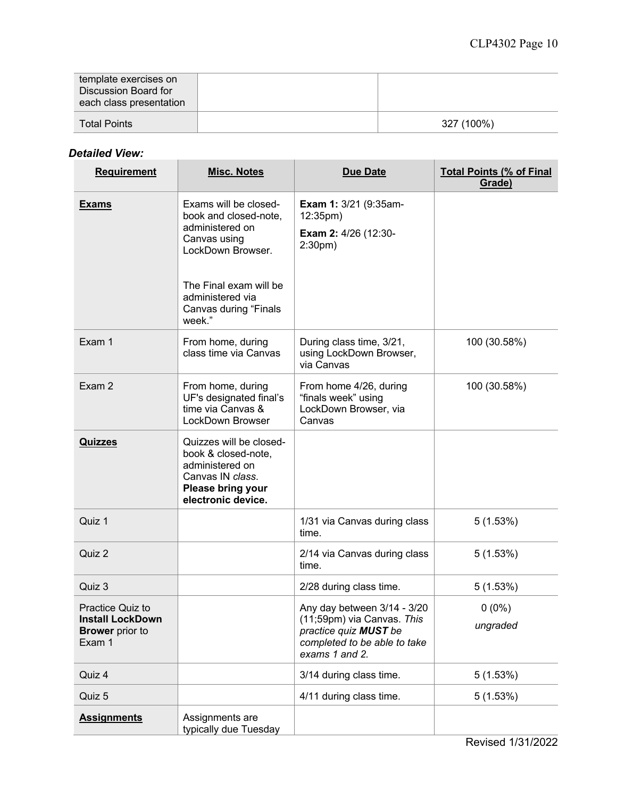| template exercises on<br>Discussion Board for<br>each class presentation |            |
|--------------------------------------------------------------------------|------------|
| <b>Total Points</b>                                                      | 327 (100%) |

# *Detailed View:*

| <b>Requirement</b>                                                                     | <b>Misc. Notes</b>                                                                                                                                                                      | <b>Due Date</b>                                                                                                                      | <b>Total Points (% of Final</b><br>Grade) |
|----------------------------------------------------------------------------------------|-----------------------------------------------------------------------------------------------------------------------------------------------------------------------------------------|--------------------------------------------------------------------------------------------------------------------------------------|-------------------------------------------|
| <b>Exams</b>                                                                           | Exams will be closed-<br>book and closed-note,<br>administered on<br>Canvas using<br>LockDown Browser.<br>The Final exam will be<br>administered via<br>Canvas during "Finals<br>week." | Exam 1: 3/21 (9:35am-<br>12:35pm)<br><b>Exam 2: 4/26 (12:30-</b><br>$2:30pm$ )                                                       |                                           |
| Exam 1                                                                                 | From home, during<br>class time via Canvas                                                                                                                                              | During class time, 3/21,<br>using LockDown Browser,<br>via Canvas                                                                    | 100 (30.58%)                              |
| Exam 2                                                                                 | From home, during<br>UF's designated final's<br>time via Canvas &<br>LockDown Browser                                                                                                   | From home 4/26, during<br>"finals week" using<br>LockDown Browser, via<br>Canvas                                                     | 100 (30.58%)                              |
| <b>Quizzes</b>                                                                         | Quizzes will be closed-<br>book & closed-note,<br>administered on<br>Canvas IN class.<br>Please bring your<br>electronic device.                                                        |                                                                                                                                      |                                           |
| Quiz 1                                                                                 |                                                                                                                                                                                         | 1/31 via Canvas during class<br>time.                                                                                                | 5(1.53%)                                  |
| Quiz 2                                                                                 |                                                                                                                                                                                         | 2/14 via Canvas during class<br>time.                                                                                                | 5(1.53%)                                  |
| Quiz 3                                                                                 |                                                                                                                                                                                         | 2/28 during class time.                                                                                                              | 5(1.53%)                                  |
| <b>Practice Quiz to</b><br><b>Install LockDown</b><br><b>Brower</b> prior to<br>Exam 1 |                                                                                                                                                                                         | Any day between 3/14 - 3/20<br>(11;59pm) via Canvas. This<br>practice quiz MUST be<br>completed to be able to take<br>exams 1 and 2. | $0(0\%)$<br>ungraded                      |
| Quiz 4                                                                                 |                                                                                                                                                                                         | 3/14 during class time.                                                                                                              | 5(1.53%)                                  |
| Quiz 5                                                                                 |                                                                                                                                                                                         | 4/11 during class time.                                                                                                              | 5(1.53%)                                  |
| <b>Assignments</b>                                                                     | Assignments are<br>typically due Tuesday                                                                                                                                                |                                                                                                                                      |                                           |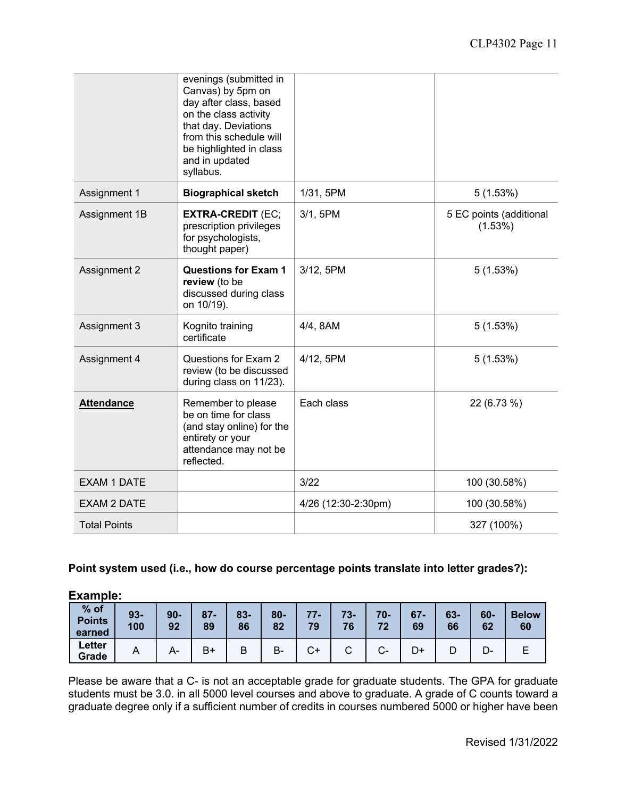|                     | evenings (submitted in<br>Canvas) by 5pm on<br>day after class, based<br>on the class activity<br>that day. Deviations<br>from this schedule will<br>be highlighted in class<br>and in updated<br>syllabus. |                     |                                    |
|---------------------|-------------------------------------------------------------------------------------------------------------------------------------------------------------------------------------------------------------|---------------------|------------------------------------|
| Assignment 1        | <b>Biographical sketch</b>                                                                                                                                                                                  | 1/31, 5PM           | 5(1.53%)                           |
| Assignment 1B       | <b>EXTRA-CREDIT (EC;</b><br>prescription privileges<br>for psychologists,<br>thought paper)                                                                                                                 | 3/1, 5PM            | 5 EC points (additional<br>(1.53%) |
| <b>Assignment 2</b> | <b>Questions for Exam 1</b><br>review (to be<br>discussed during class<br>on 10/19).                                                                                                                        | 3/12, 5PM           | 5(1.53%)                           |
| Assignment 3        | Kognito training<br>certificate                                                                                                                                                                             | 4/4, 8AM            | 5(1.53%)                           |
| Assignment 4        | Questions for Exam 2<br>review (to be discussed<br>during class on 11/23).                                                                                                                                  | 4/12, 5PM           | 5(1.53%)                           |
| <b>Attendance</b>   | Remember to please<br>be on time for class<br>(and stay online) for the<br>entirety or your<br>attendance may not be<br>reflected.                                                                          | Each class          | 22 (6.73 %)                        |
| <b>EXAM 1 DATE</b>  |                                                                                                                                                                                                             | 3/22                | 100 (30.58%)                       |
| <b>EXAM 2 DATE</b>  |                                                                                                                                                                                                             | 4/26 (12:30-2:30pm) | 100 (30.58%)                       |
| <b>Total Points</b> |                                                                                                                                                                                                             |                     | 327 (100%)                         |

# **Point system used (i.e., how do course percentage points translate into letter grades?):**

| <b>Example:</b>                   |              |              |              |              |              |             |
|-----------------------------------|--------------|--------------|--------------|--------------|--------------|-------------|
| $%$ of<br><b>Points</b><br>earned | $93-$<br>100 | $90 -$<br>92 | $87 -$<br>89 | $83 -$<br>86 | $80 -$<br>82 | $77-$<br>79 |

**Letter**

# Please be aware that a C- is not an acceptable grade for graduate students. The GPA for graduate students must be 3.0. in all 5000 level courses and above to graduate. A grade of C counts toward a graduate degree only if a sufficient number of credits in courses numbered 5000 or higher have been

**Grade** <sup>A</sup> A- B+ <sup>B</sup> B- C+ <sup>C</sup> C- D+ <sup>D</sup> D- <sup>E</sup>

**73- 76**

**70- 72**

**67- 69**

**63- 66**

**60- 62**

**Below 60**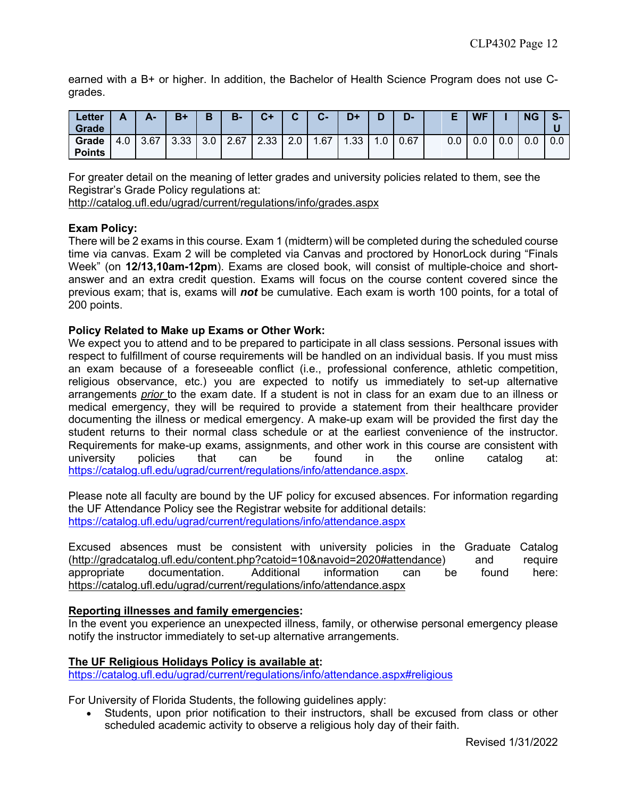earned with a B+ or higher. In addition, the Bachelor of Health Science Program does not use Cgrades.

| <b>Letter</b><br>Grade | r   | А-   | $B+$ | D   | $B -$ | $C+$ | $\sim$ | C-   | D+   |     | 20F  |     | <b>WF</b> |     | ΝG  | - 5- |
|------------------------|-----|------|------|-----|-------|------|--------|------|------|-----|------|-----|-----------|-----|-----|------|
| Grade<br><b>Points</b> | 4.0 | 3.67 | 3.33 | 3.0 | 2.67  | 2.33 | 2.0    | 67،، | 1.33 | 1.0 | 0.67 | 0.0 | 0.0       | 0.0 | 0.0 | 0.0  |

For greater detail on the meaning of letter grades and university policies related to them, see the Registrar's Grade Policy regulations at:

http://catalog.ufl.edu/ugrad/current/regulations/info/grades.aspx

# **Exam Policy:**

There will be 2 exams in this course. Exam 1 (midterm) will be completed during the scheduled course time via canvas. Exam 2 will be completed via Canvas and proctored by HonorLock during "Finals Week" (on **12/13,10am-12pm**). Exams are closed book, will consist of multiple-choice and shortanswer and an extra credit question. Exams will focus on the course content covered since the previous exam; that is, exams will *not* be cumulative. Each exam is worth 100 points, for a total of 200 points.

# **Policy Related to Make up Exams or Other Work:**

We expect you to attend and to be prepared to participate in all class sessions. Personal issues with respect to fulfillment of course requirements will be handled on an individual basis. If you must miss an exam because of a foreseeable conflict (i.e., professional conference, athletic competition, religious observance, etc.) you are expected to notify us immediately to set-up alternative arrangements *prior* to the exam date. If a student is not in class for an exam due to an illness or medical emergency, they will be required to provide a statement from their healthcare provider documenting the illness or medical emergency. A make-up exam will be provided the first day the student returns to their normal class schedule or at the earliest convenience of the instructor. Requirements for make-up exams, assignments, and other work in this course are consistent with university policies that can be found in the online catalog at: https://catalog.ufl.edu/ugrad/current/regulations/info/attendance.aspx.

Please note all faculty are bound by the UF policy for excused absences. For information regarding the UF Attendance Policy see the Registrar website for additional details: https://catalog.ufl.edu/ugrad/current/regulations/info/attendance.aspx

Excused absences must be consistent with university policies in the Graduate Catalog (http://gradcatalog.ufl.edu/content.php?catoid=10&navoid=2020#attendance) and require appropriate documentation. Additional information can be found here: https://catalog.ufl.edu/ugrad/current/regulations/info/attendance.aspx

# **Reporting illnesses and family emergencies:**

In the event you experience an unexpected illness, family, or otherwise personal emergency please notify the instructor immediately to set-up alternative arrangements.

## **The UF Religious Holidays Policy is available at:**

https://catalog.ufl.edu/ugrad/current/regulations/info/attendance.aspx#religious

For University of Florida Students, the following guidelines apply:

• Students, upon prior notification to their instructors, shall be excused from class or other scheduled academic activity to observe a religious holy day of their faith.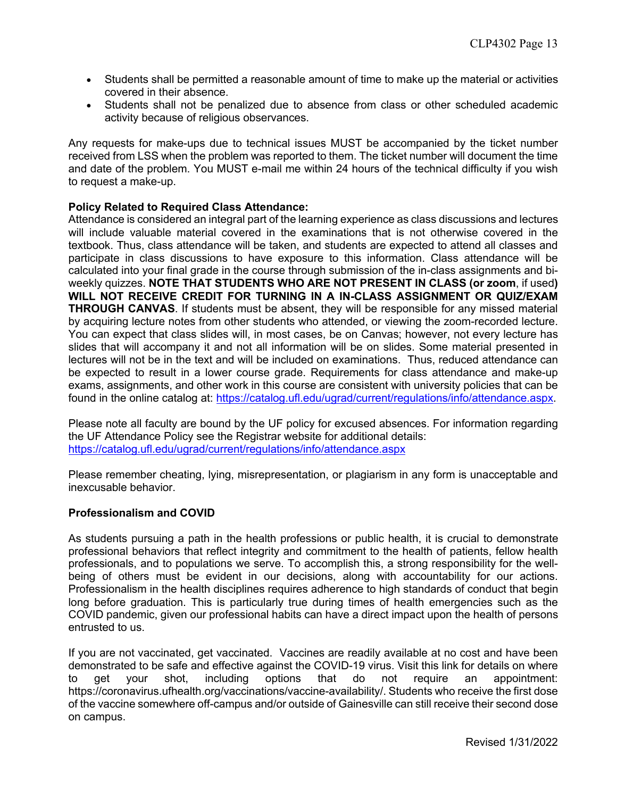- Students shall be permitted a reasonable amount of time to make up the material or activities covered in their absence.
- Students shall not be penalized due to absence from class or other scheduled academic activity because of religious observances.

Any requests for make-ups due to technical issues MUST be accompanied by the ticket number received from LSS when the problem was reported to them. The ticket number will document the time and date of the problem. You MUST e-mail me within 24 hours of the technical difficulty if you wish to request a make-up.

# **Policy Related to Required Class Attendance:**

Attendance is considered an integral part of the learning experience as class discussions and lectures will include valuable material covered in the examinations that is not otherwise covered in the textbook. Thus, class attendance will be taken, and students are expected to attend all classes and participate in class discussions to have exposure to this information. Class attendance will be calculated into your final grade in the course through submission of the in-class assignments and biweekly quizzes. **NOTE THAT STUDENTS WHO ARE NOT PRESENT IN CLASS (or zoom**, if used**) WILL NOT RECEIVE CREDIT FOR TURNING IN A IN-CLASS ASSIGNMENT OR QUIZ/EXAM THROUGH CANVAS**. If students must be absent, they will be responsible for any missed material by acquiring lecture notes from other students who attended, or viewing the zoom-recorded lecture. You can expect that class slides will, in most cases, be on Canvas; however, not every lecture has slides that will accompany it and not all information will be on slides. Some material presented in lectures will not be in the text and will be included on examinations. Thus, reduced attendance can be expected to result in a lower course grade. Requirements for class attendance and make-up exams, assignments, and other work in this course are consistent with university policies that can be found in the online catalog at: https://catalog.ufl.edu/ugrad/current/regulations/info/attendance.aspx.

Please note all faculty are bound by the UF policy for excused absences. For information regarding the UF Attendance Policy see the Registrar website for additional details: https://catalog.ufl.edu/ugrad/current/regulations/info/attendance.aspx

Please remember cheating, lying, misrepresentation, or plagiarism in any form is unacceptable and inexcusable behavior.

## **Professionalism and COVID**

As students pursuing a path in the health professions or public health, it is crucial to demonstrate professional behaviors that reflect integrity and commitment to the health of patients, fellow health professionals, and to populations we serve. To accomplish this, a strong responsibility for the wellbeing of others must be evident in our decisions, along with accountability for our actions. Professionalism in the health disciplines requires adherence to high standards of conduct that begin long before graduation. This is particularly true during times of health emergencies such as the COVID pandemic, given our professional habits can have a direct impact upon the health of persons entrusted to us.

If you are not vaccinated, get vaccinated. Vaccines are readily available at no cost and have been demonstrated to be safe and effective against the COVID-19 virus. Visit this link for details on where to get your shot, including options that do not require an appointment: https://coronavirus.ufhealth.org/vaccinations/vaccine-availability/. Students who receive the first dose of the vaccine somewhere off-campus and/or outside of Gainesville can still receive their second dose on campus.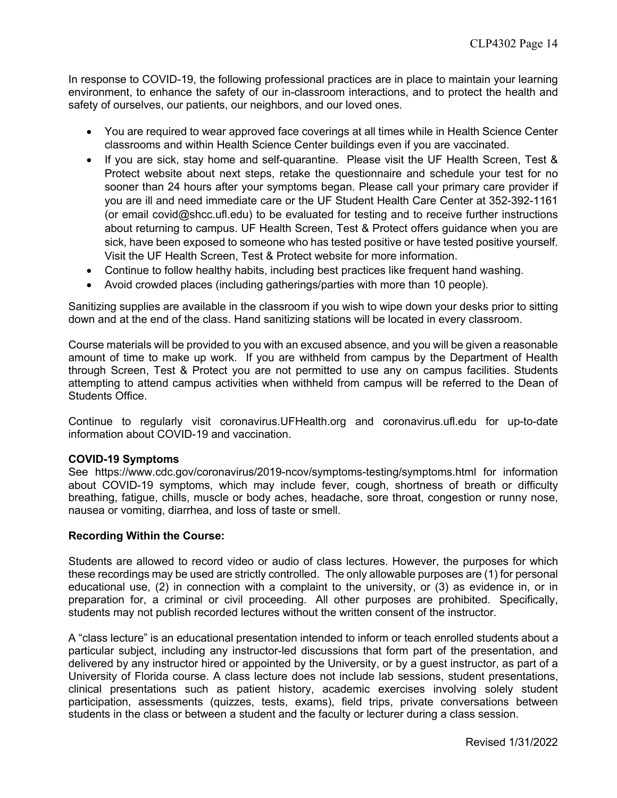In response to COVID-19, the following professional practices are in place to maintain your learning environment, to enhance the safety of our in-classroom interactions, and to protect the health and safety of ourselves, our patients, our neighbors, and our loved ones.

- You are required to wear approved face coverings at all times while in Health Science Center classrooms and within Health Science Center buildings even if you are vaccinated.
- If you are sick, stay home and self-quarantine. Please visit the UF Health Screen, Test & Protect website about next steps, retake the questionnaire and schedule your test for no sooner than 24 hours after your symptoms began. Please call your primary care provider if you are ill and need immediate care or the UF Student Health Care Center at 352-392-1161 (or email covid@shcc.ufl.edu) to be evaluated for testing and to receive further instructions about returning to campus. UF Health Screen, Test & Protect offers guidance when you are sick, have been exposed to someone who has tested positive or have tested positive yourself. Visit the UF Health Screen, Test & Protect website for more information.
- Continue to follow healthy habits, including best practices like frequent hand washing.
- Avoid crowded places (including gatherings/parties with more than 10 people).

Sanitizing supplies are available in the classroom if you wish to wipe down your desks prior to sitting down and at the end of the class. Hand sanitizing stations will be located in every classroom.

Course materials will be provided to you with an excused absence, and you will be given a reasonable amount of time to make up work. If you are withheld from campus by the Department of Health through Screen, Test & Protect you are not permitted to use any on campus facilities. Students attempting to attend campus activities when withheld from campus will be referred to the Dean of Students Office.

Continue to regularly visit coronavirus.UFHealth.org and coronavirus.ufl.edu for up-to-date information about COVID-19 and vaccination.

## **COVID-19 Symptoms**

See https://www.cdc.gov/coronavirus/2019-ncov/symptoms-testing/symptoms.html for information about COVID-19 symptoms, which may include fever, cough, shortness of breath or difficulty breathing, fatigue, chills, muscle or body aches, headache, sore throat, congestion or runny nose, nausea or vomiting, diarrhea, and loss of taste or smell.

## **Recording Within the Course:**

Students are allowed to record video or audio of class lectures. However, the purposes for which these recordings may be used are strictly controlled. The only allowable purposes are (1) for personal educational use, (2) in connection with a complaint to the university, or (3) as evidence in, or in preparation for, a criminal or civil proceeding. All other purposes are prohibited. Specifically, students may not publish recorded lectures without the written consent of the instructor.

A "class lecture" is an educational presentation intended to inform or teach enrolled students about a particular subject, including any instructor-led discussions that form part of the presentation, and delivered by any instructor hired or appointed by the University, or by a guest instructor, as part of a University of Florida course. A class lecture does not include lab sessions, student presentations, clinical presentations such as patient history, academic exercises involving solely student participation, assessments (quizzes, tests, exams), field trips, private conversations between students in the class or between a student and the faculty or lecturer during a class session.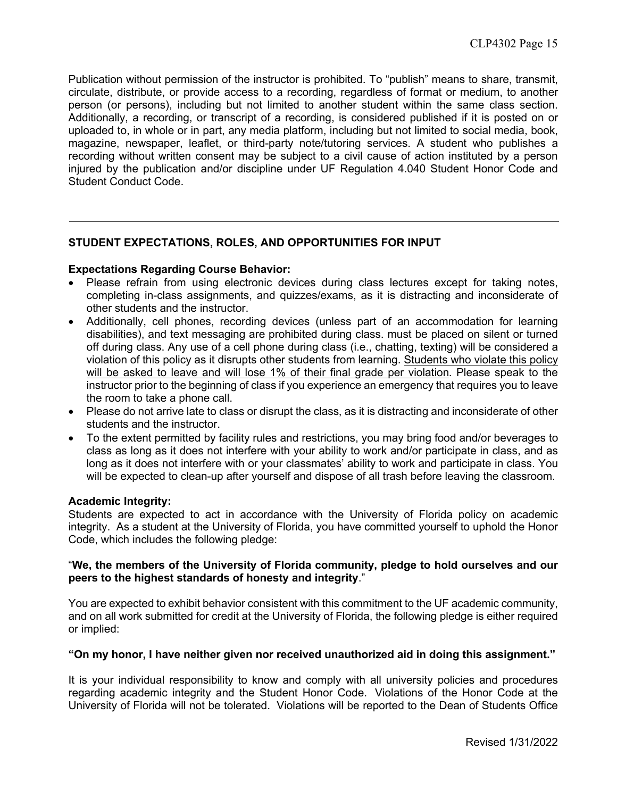Publication without permission of the instructor is prohibited. To "publish" means to share, transmit, circulate, distribute, or provide access to a recording, regardless of format or medium, to another person (or persons), including but not limited to another student within the same class section. Additionally, a recording, or transcript of a recording, is considered published if it is posted on or uploaded to, in whole or in part, any media platform, including but not limited to social media, book, magazine, newspaper, leaflet, or third-party note/tutoring services. A student who publishes a recording without written consent may be subject to a civil cause of action instituted by a person injured by the publication and/or discipline under UF Regulation 4.040 Student Honor Code and Student Conduct Code.

# **STUDENT EXPECTATIONS, ROLES, AND OPPORTUNITIES FOR INPUT**

#### **Expectations Regarding Course Behavior:**

- Please refrain from using electronic devices during class lectures except for taking notes, completing in-class assignments, and quizzes/exams, as it is distracting and inconsiderate of other students and the instructor.
- Additionally, cell phones, recording devices (unless part of an accommodation for learning disabilities), and text messaging are prohibited during class. must be placed on silent or turned off during class. Any use of a cell phone during class (i.e., chatting, texting) will be considered a violation of this policy as it disrupts other students from learning. Students who violate this policy will be asked to leave and will lose 1% of their final grade per violation. Please speak to the instructor prior to the beginning of class if you experience an emergency that requires you to leave the room to take a phone call.
- Please do not arrive late to class or disrupt the class, as it is distracting and inconsiderate of other students and the instructor.
- To the extent permitted by facility rules and restrictions, you may bring food and/or beverages to class as long as it does not interfere with your ability to work and/or participate in class, and as long as it does not interfere with or your classmates' ability to work and participate in class. You will be expected to clean-up after yourself and dispose of all trash before leaving the classroom.

#### **Academic Integrity:**

Students are expected to act in accordance with the University of Florida policy on academic integrity. As a student at the University of Florida, you have committed yourself to uphold the Honor Code, which includes the following pledge:

## "**We, the members of the University of Florida community, pledge to hold ourselves and our peers to the highest standards of honesty and integrity**."

You are expected to exhibit behavior consistent with this commitment to the UF academic community, and on all work submitted for credit at the University of Florida, the following pledge is either required or implied:

#### **"On my honor, I have neither given nor received unauthorized aid in doing this assignment."**

It is your individual responsibility to know and comply with all university policies and procedures regarding academic integrity and the Student Honor Code. Violations of the Honor Code at the University of Florida will not be tolerated. Violations will be reported to the Dean of Students Office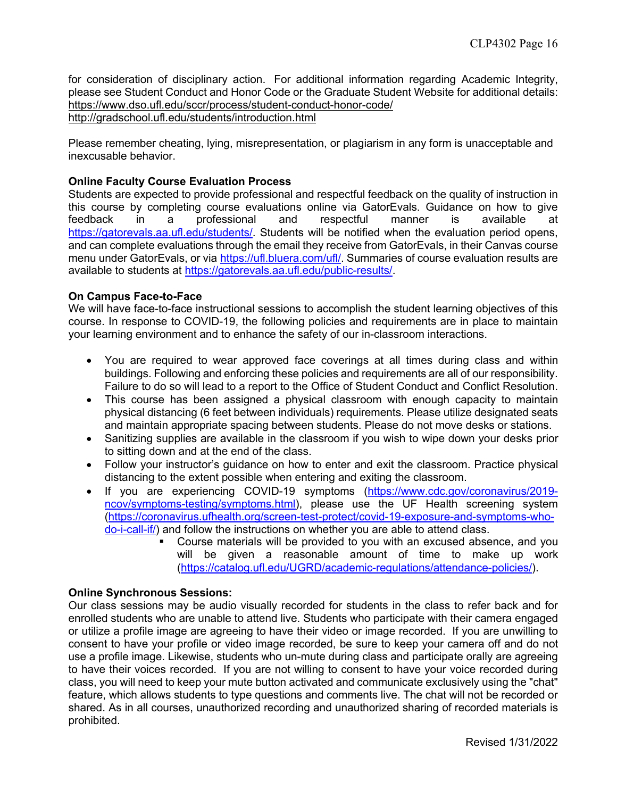for consideration of disciplinary action. For additional information regarding Academic Integrity, please see Student Conduct and Honor Code or the Graduate Student Website for additional details: https://www.dso.ufl.edu/sccr/process/student-conduct-honor-code/ http://gradschool.ufl.edu/students/introduction.html

Please remember cheating, lying, misrepresentation, or plagiarism in any form is unacceptable and inexcusable behavior.

## **Online Faculty Course Evaluation Process**

Students are expected to provide professional and respectful feedback on the quality of instruction in this course by completing course evaluations online via GatorEvals. Guidance on how to give feedback in a professional and respectful manner is available at https://gatorevals.aa.ufl.edu/students/. Students will be notified when the evaluation period opens, and can complete evaluations through the email they receive from GatorEvals, in their Canvas course menu under GatorEvals, or via https://ufl.bluera.com/ufl/. Summaries of course evaluation results are available to students at https://gatorevals.aa.ufl.edu/public-results/.

# **On Campus Face-to-Face**

We will have face-to-face instructional sessions to accomplish the student learning objectives of this course. In response to COVID-19, the following policies and requirements are in place to maintain your learning environment and to enhance the safety of our in-classroom interactions.

- You are required to wear approved face coverings at all times during class and within buildings. Following and enforcing these policies and requirements are all of our responsibility. Failure to do so will lead to a report to the Office of Student Conduct and Conflict Resolution.
- This course has been assigned a physical classroom with enough capacity to maintain physical distancing (6 feet between individuals) requirements. Please utilize designated seats and maintain appropriate spacing between students. Please do not move desks or stations.
- Sanitizing supplies are available in the classroom if you wish to wipe down your desks prior to sitting down and at the end of the class.
- Follow your instructor's guidance on how to enter and exit the classroom. Practice physical distancing to the extent possible when entering and exiting the classroom.
- If you are experiencing COVID-19 symptoms (https://www.cdc.gov/coronavirus/2019 ncov/symptoms-testing/symptoms.html), please use the UF Health screening system (https://coronavirus.ufhealth.org/screen-test-protect/covid-19-exposure-and-symptoms-whodo-i-call-if/) and follow the instructions on whether you are able to attend class.
	- § Course materials will be provided to you with an excused absence, and you will be given a reasonable amount of time to make up work (https://catalog.ufl.edu/UGRD/academic-regulations/attendance-policies/).

## **Online Synchronous Sessions:**

Our class sessions may be audio visually recorded for students in the class to refer back and for enrolled students who are unable to attend live. Students who participate with their camera engaged or utilize a profile image are agreeing to have their video or image recorded. If you are unwilling to consent to have your profile or video image recorded, be sure to keep your camera off and do not use a profile image. Likewise, students who un-mute during class and participate orally are agreeing to have their voices recorded. If you are not willing to consent to have your voice recorded during class, you will need to keep your mute button activated and communicate exclusively using the "chat" feature, which allows students to type questions and comments live. The chat will not be recorded or shared. As in all courses, unauthorized recording and unauthorized sharing of recorded materials is prohibited.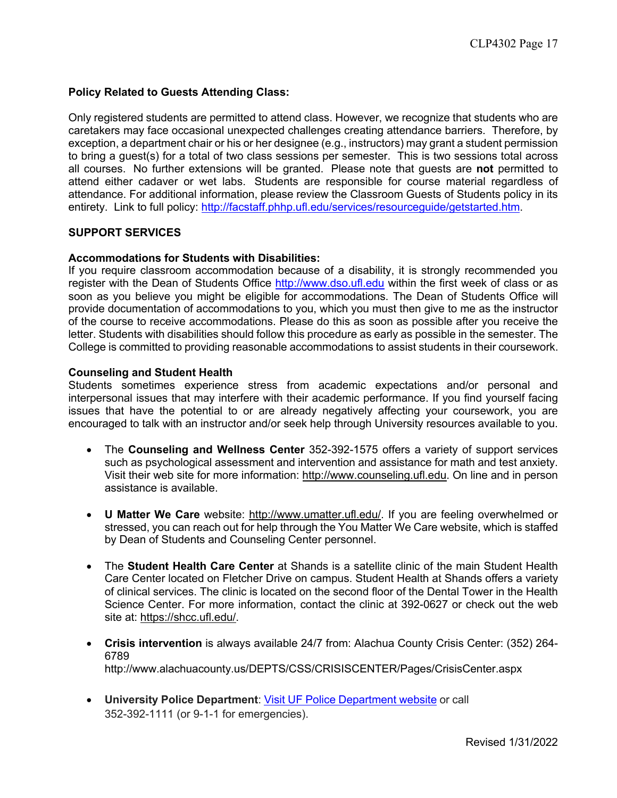# **Policy Related to Guests Attending Class:**

Only registered students are permitted to attend class. However, we recognize that students who are caretakers may face occasional unexpected challenges creating attendance barriers. Therefore, by exception, a department chair or his or her designee (e.g., instructors) may grant a student permission to bring a guest(s) for a total of two class sessions per semester. This is two sessions total across all courses. No further extensions will be granted. Please note that guests are **not** permitted to attend either cadaver or wet labs. Students are responsible for course material regardless of attendance. For additional information, please review the Classroom Guests of Students policy in its entirety. Link to full policy: http://facstaff.phhp.ufl.edu/services/resourceguide/getstarted.htm.

# **SUPPORT SERVICES**

## **Accommodations for Students with Disabilities:**

If you require classroom accommodation because of a disability, it is strongly recommended you register with the Dean of Students Office http://www.dso.ufl.edu within the first week of class or as soon as you believe you might be eligible for accommodations. The Dean of Students Office will provide documentation of accommodations to you, which you must then give to me as the instructor of the course to receive accommodations. Please do this as soon as possible after you receive the letter. Students with disabilities should follow this procedure as early as possible in the semester. The College is committed to providing reasonable accommodations to assist students in their coursework.

#### **Counseling and Student Health**

Students sometimes experience stress from academic expectations and/or personal and interpersonal issues that may interfere with their academic performance. If you find yourself facing issues that have the potential to or are already negatively affecting your coursework, you are encouraged to talk with an instructor and/or seek help through University resources available to you.

- The **Counseling and Wellness Center** 352-392-1575 offers a variety of support services such as psychological assessment and intervention and assistance for math and test anxiety. Visit their web site for more information: http://www.counseling.ufl.edu. On line and in person assistance is available.
- **U Matter We Care** website: http://www.umatter.ufl.edu/. If you are feeling overwhelmed or stressed, you can reach out for help through the You Matter We Care website, which is staffed by Dean of Students and Counseling Center personnel.
- The **Student Health Care Center** at Shands is a satellite clinic of the main Student Health Care Center located on Fletcher Drive on campus. Student Health at Shands offers a variety of clinical services. The clinic is located on the second floor of the Dental Tower in the Health Science Center. For more information, contact the clinic at 392-0627 or check out the web site at: https://shcc.ufl.edu/.
- **Crisis intervention** is always available 24/7 from: Alachua County Crisis Center: (352) 264- 6789 http://www.alachuacounty.us/DEPTS/CSS/CRISISCENTER/Pages/CrisisCenter.aspx
- **University Police Department**: Visit UF Police Department website or call 352-392-1111 (or 9-1-1 for emergencies).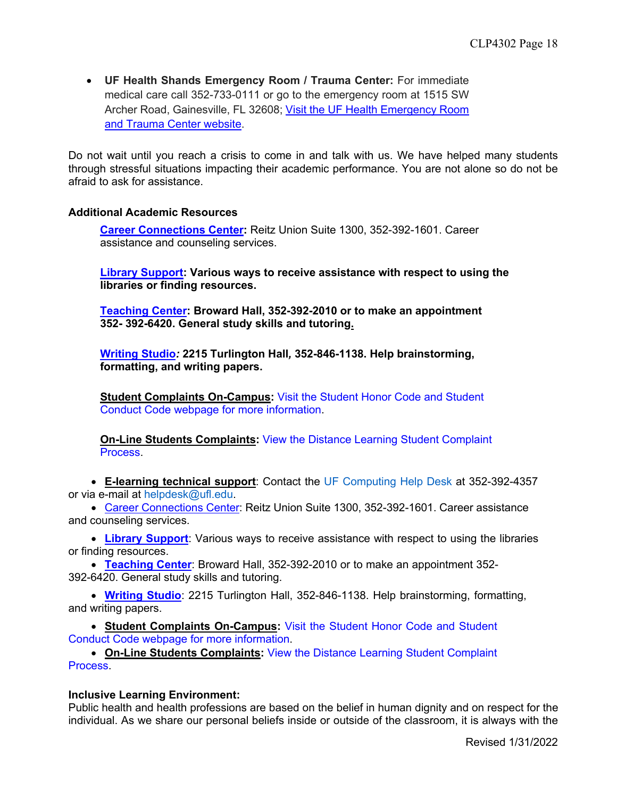• **UF Health Shands Emergency Room / Trauma Center:** For immediate medical care call 352-733-0111 or go to the emergency room at 1515 SW Archer Road, Gainesville, FL 32608; Visit the UF Health Emergency Room and Trauma Center website.

Do not wait until you reach a crisis to come in and talk with us. We have helped many students through stressful situations impacting their academic performance. You are not alone so do not be afraid to ask for assistance.

# **Additional Academic Resources**

**Career Connections Center:** Reitz Union Suite 1300, 352-392-1601. Career assistance and counseling services.

**Library Support: Various ways to receive assistance with respect to using the libraries or finding resources.**

**Teaching Center: Broward Hall, 352-392-2010 or to make an appointment 352- 392-6420. General study skills and tutoring.** 

**Writing Studio***:* **2215 Turlington Hall***,* **352-846-1138. Help brainstorming, formatting, and writing papers.**

**Student Complaints On-Campus:** Visit the Student Honor Code and Student Conduct Code webpage for more information.

**On-Line Students Complaints:** View the Distance Learning Student Complaint Process.

• **E-learning technical support**: Contact the UF Computing Help Desk at 352-392-4357 or via e-mail at helpdesk@ufl.edu.

• Career Connections Center: Reitz Union Suite 1300, 352-392-1601. Career assistance and counseling services.

• **Library Support**: Various ways to receive assistance with respect to using the libraries or finding resources.

• **Teaching Center**: Broward Hall, 352-392-2010 or to make an appointment 352- 392-6420. General study skills and tutoring.

• **Writing Studio**: 2215 Turlington Hall, 352-846-1138. Help brainstorming, formatting, and writing papers.

• **Student Complaints On-Campus:** Visit the Student Honor Code and Student Conduct Code webpage for more information.

• **On-Line Students Complaints:** View the Distance Learning Student Complaint Process.

## **Inclusive Learning Environment:**

Public health and health professions are based on the belief in human dignity and on respect for the individual. As we share our personal beliefs inside or outside of the classroom, it is always with the